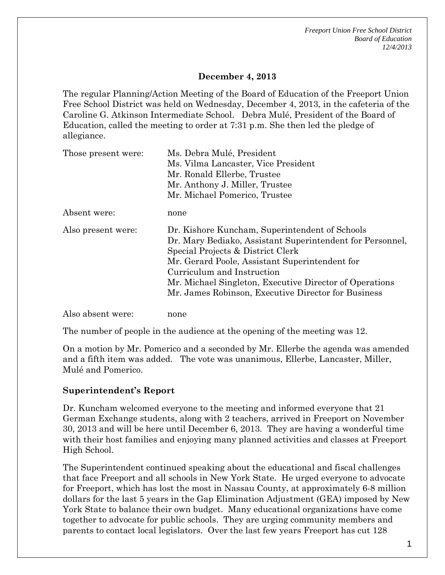*Freeport Union Free School District Board of Education 12/4/2013*

## **December 4, 2013**

The regular Planning/Action Meeting of the Board of Education of the Freeport Union Free School District was held on Wednesday, December 4, 2013, in the cafeteria of the Caroline G. Atkinson Intermediate School. Debra Mulé, President of the Board of Education, called the meeting to order at 7:31 p.m. She then led the pledge of allegiance.

| Those present were: | Ms. Debra Mulé, President                                 |
|---------------------|-----------------------------------------------------------|
|                     | Ms. Vilma Lancaster, Vice President                       |
|                     | Mr. Ronald Ellerbe, Trustee                               |
|                     | Mr. Anthony J. Miller, Trustee                            |
|                     | Mr. Michael Pomerico, Trustee                             |
| Absent were:        | none                                                      |
| Also present were:  | Dr. Kishore Kuncham, Superintendent of Schools            |
|                     | Dr. Mary Bediako, Assistant Superintendent for Personnel, |
|                     | Special Projects & District Clerk                         |
|                     | Mr. Gerard Poole, Assistant Superintendent for            |
|                     | Curriculum and Instruction                                |
|                     | Mr. Michael Singleton, Executive Director of Operations   |
|                     | Mr. James Robinson, Executive Director for Business       |
| Also absent were:   | none                                                      |

The number of people in the audience at the opening of the meeting was 12.

On a motion by Mr. Pomerico and a seconded by Mr. Ellerbe the agenda was amended and a fifth item was added. The vote was unanimous, Ellerbe, Lancaster, Miller, Mulé and Pomerico.

#### **Superintendent's Report**

Dr. Kuncham welcomed everyone to the meeting and informed everyone that 21 German Exchange students, along with 2 teachers, arrived in Freeport on November 30, 2013 and will be here until December 6, 2013. They are having a wonderful time with their host families and enjoying many planned activities and classes at Freeport High School.

The Superintendent continued speaking about the educational and fiscal challenges that face Freeport and all schools in New York State. He urged everyone to advocate for Freeport, which has lost the most in Nassau County, at approximately 6-8 million dollars for the last 5 years in the Gap Elimination Adjustment (GEA) imposed by New York State to balance their own budget. Many educational organizations have come together to advocate for public schools. They are urging community members and parents to contact local legislators. Over the last few years Freeport has cut 128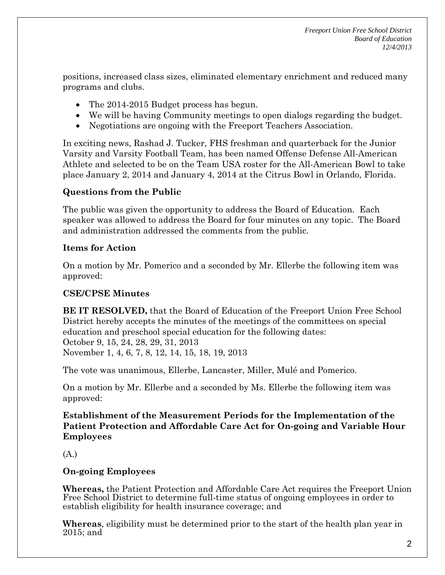positions, increased class sizes, eliminated elementary enrichment and reduced many programs and clubs.

- The 2014-2015 Budget process has begun.
- We will be having Community meetings to open dialogs regarding the budget.
- Negotiations are ongoing with the Freeport Teachers Association.

In exciting news, Rashad J. Tucker, FHS freshman and quarterback for the Junior Varsity and Varsity Football Team, has been named Offense Defense All-American Athlete and selected to be on the Team USA roster for the All-American Bowl to take place January 2, 2014 and January 4, 2014 at the Citrus Bowl in Orlando, Florida.

# **Questions from the Public**

The public was given the opportunity to address the Board of Education. Each speaker was allowed to address the Board for four minutes on any topic. The Board and administration addressed the comments from the public.

## **Items for Action**

On a motion by Mr. Pomerico and a seconded by Mr. Ellerbe the following item was approved:

# **CSE/CPSE Minutes**

**BE IT RESOLVED,** that the Board of Education of the Freeport Union Free School District hereby accepts the minutes of the meetings of the committees on special education and preschool special education for the following dates: October 9, 15, 24, 28, 29, 31, 2013 November 1, 4, 6, 7, 8, 12, 14, 15, 18, 19, 2013

The vote was unanimous, Ellerbe, Lancaster, Miller, Mulé and Pomerico.

On a motion by Mr. Ellerbe and a seconded by Ms. Ellerbe the following item was approved:

**Establishment of the Measurement Periods for the Implementation of the Patient Protection and Affordable Care Act for On-going and Variable Hour Employees**

(A.)

# **On-going Employees**

**Whereas,** the Patient Protection and Affordable Care Act requires the Freeport Union Free School District to determine full-time status of ongoing employees in order to establish eligibility for health insurance coverage; and

**Whereas**, eligibility must be determined prior to the start of the health plan year in 2015; and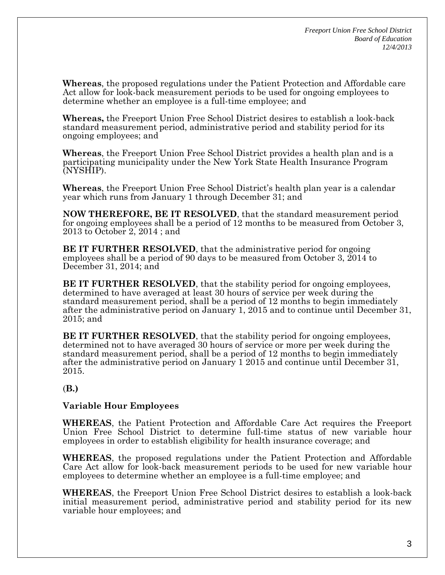**Whereas**, the proposed regulations under the Patient Protection and Affordable care Act allow for look-back measurement periods to be used for ongoing employees to determine whether an employee is a full-time employee; and

**Whereas,** the Freeport Union Free School District desires to establish a look-back standard measurement period, administrative period and stability period for its ongoing employees; and

**Whereas**, the Freeport Union Free School District provides a health plan and is a participating municipality under the New York State Health Insurance Program (NYSHIP).

**Whereas**, the Freeport Union Free School District's health plan year is a calendar year which runs from January 1 through December 31; and

**NOW THEREFORE, BE IT RESOLVED**, that the standard measurement period for ongoing employees shall be a period of 12 months to be measured from October 3, 2013 to October 2, 2014 ; and

**BE IT FURTHER RESOLVED**, that the administrative period for ongoing employees shall be a period of 90 days to be measured from October 3, 2014 to December 31, 2014; and

**BE IT FURTHER RESOLVED**, that the stability period for ongoing employees, determined to have averaged at least 30 hours of service per week during the standard measurement period, shall be a period of 12 months to begin immediately after the administrative period on January 1, 2015 and to continue until December 31, 2015; and

**BE IT FURTHER RESOLVED**, that the stability period for ongoing employees, determined not to have averaged 30 hours of service or more per week during the standard measurement period, shall be a period of 12 months to begin immediately after the administrative period on January 1 2015 and continue until December 31, 2015.

#### (**B.)**

#### **Variable Hour Employees**

**WHEREAS**, the Patient Protection and Affordable Care Act requires the Freeport Union Free School District to determine full-time status of new variable hour employees in order to establish eligibility for health insurance coverage; and

**WHEREAS**, the proposed regulations under the Patient Protection and Affordable Care Act allow for look-back measurement periods to be used for new variable hour employees to determine whether an employee is a full-time employee; and

**WHEREAS**, the Freeport Union Free School District desires to establish a look-back initial measurement period, administrative period and stability period for its new variable hour employees; and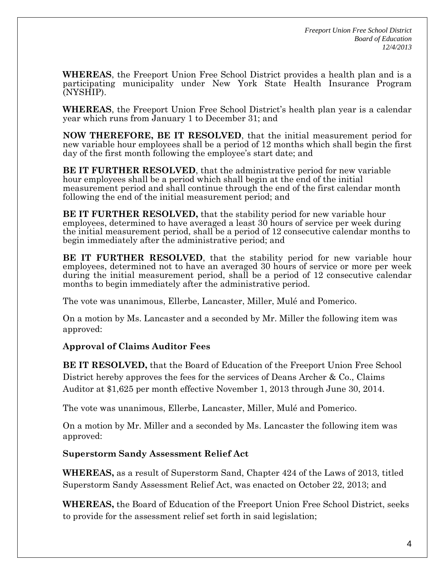**WHEREAS**, the Freeport Union Free School District provides a health plan and is a participating municipality under New York State Health Insurance Program (NYSHIP).

**WHEREAS**, the Freeport Union Free School District's health plan year is a calendar year which runs from January 1 to December 31; and

**NOW THEREFORE, BE IT RESOLVED**, that the initial measurement period for new variable hour employees shall be a period of 12 months which shall begin the first day of the first month following the employee's start date; and

**BE IT FURTHER RESOLVED**, that the administrative period for new variable hour employees shall be a period which shall begin at the end of the initial measurement period and shall continue through the end of the first calendar month following the end of the initial measurement period; and

**BE IT FURTHER RESOLVED, that the stability period for new variable hour** employees, determined to have averaged a least 30 hours of service per week during the initial measurement period, shall be a period of 12 consecutive calendar months to begin immediately after the administrative period; and

**BE IT FURTHER RESOLVED**, that the stability period for new variable hour employees, determined not to have an averaged 30 hours of service or more per week during the initial measurement period, shall be a period of 12 consecutive calendar months to begin immediately after the administrative period.

The vote was unanimous, Ellerbe, Lancaster, Miller, Mulé and Pomerico.

On a motion by Ms. Lancaster and a seconded by Mr. Miller the following item was approved:

## **Approval of Claims Auditor Fees**

**BE IT RESOLVED,** that the Board of Education of the Freeport Union Free School District hereby approves the fees for the services of Deans Archer & Co., Claims Auditor at \$1,625 per month effective November 1, 2013 through June 30, 2014.

The vote was unanimous, Ellerbe, Lancaster, Miller, Mulé and Pomerico.

On a motion by Mr. Miller and a seconded by Ms. Lancaster the following item was approved:

#### **Superstorm Sandy Assessment Relief Act**

**WHEREAS,** as a result of Superstorm Sand, Chapter 424 of the Laws of 2013, titled Superstorm Sandy Assessment Relief Act, was enacted on October 22, 2013; and

**WHEREAS,** the Board of Education of the Freeport Union Free School District, seeks to provide for the assessment relief set forth in said legislation;